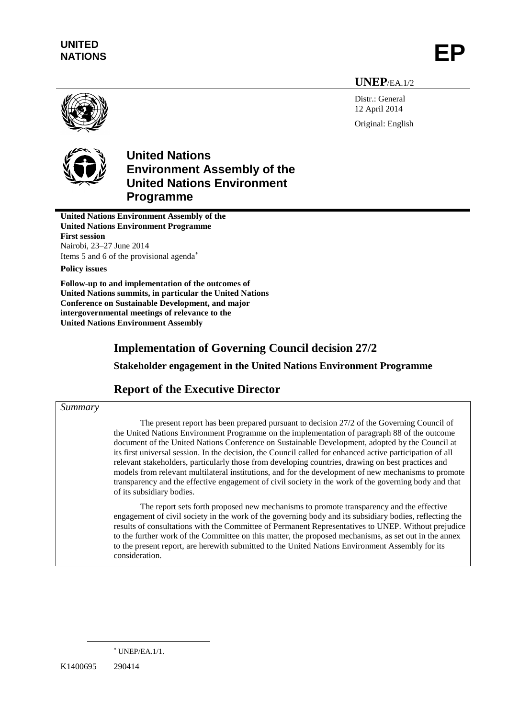**UNEP**/EA.1/2

Distr.: General 12 April 2014 Original: English





# **United Nations Environment Assembly of the United Nations Environment Programme**

**United Nations Environment Assembly of the United Nations Environment Programme First session** Nairobi, 23–27 June 2014 Items 5 and 6 of the provisional agenda

**Policy issues**

**Follow-up to and implementation of the outcomes of United Nations summits, in particular the United Nations Conference on Sustainable Development, and major intergovernmental meetings of relevance to the United Nations Environment Assembly**

## **Implementation of Governing Council decision 27/2**

**Stakeholder engagement in the United Nations Environment Programme**

## **Report of the Executive Director**

### *Summary*

The present report has been prepared pursuant to decision 27/2 of the Governing Council of the United Nations Environment Programme on the implementation of paragraph 88 of the outcome document of the United Nations Conference on Sustainable Development, adopted by the Council at its first universal session. In the decision, the Council called for enhanced active participation of all relevant stakeholders, particularly those from developing countries, drawing on best practices and models from relevant multilateral institutions, and for the development of new mechanisms to promote transparency and the effective engagement of civil society in the work of the governing body and that of its subsidiary bodies.

The report sets forth proposed new mechanisms to promote transparency and the effective engagement of civil society in the work of the governing body and its subsidiary bodies, reflecting the results of consultations with the Committee of Permanent Representatives to UNEP. Without prejudice to the further work of the Committee on this matter, the proposed mechanisms, as set out in the annex to the present report, are herewith submitted to the United Nations Environment Assembly for its consideration.

K1400695 290414

 $*$  UNEP/EA.1/1.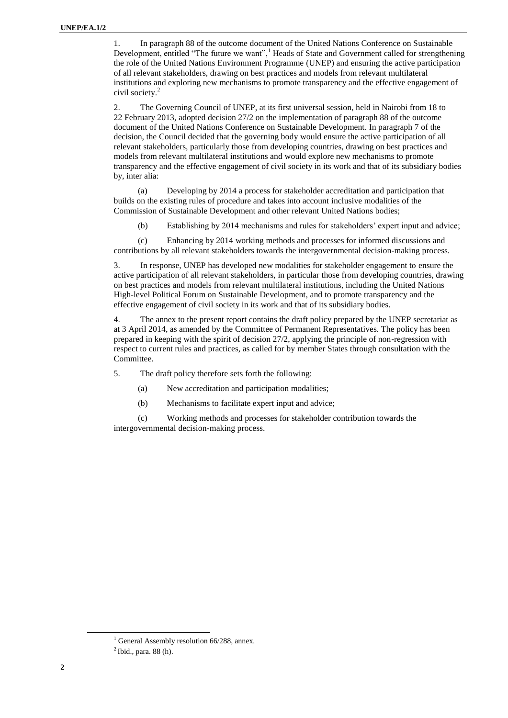1. In paragraph 88 of the outcome document of the United Nations Conference on Sustainable Development, entitled "The future we want",<sup>1</sup> Heads of State and Government called for strengthening the role of the United Nations Environment Programme (UNEP) and ensuring the active participation of all relevant stakeholders, drawing on best practices and models from relevant multilateral institutions and exploring new mechanisms to promote transparency and the effective engagement of civil society.<sup>2</sup>

2. The Governing Council of UNEP, at its first universal session, held in Nairobi from 18 to 22 February 2013, adopted decision 27/2 on the implementation of paragraph 88 of the outcome document of the United Nations Conference on Sustainable Development. In paragraph 7 of the decision, the Council decided that the governing body would ensure the active participation of all relevant stakeholders, particularly those from developing countries, drawing on best practices and models from relevant multilateral institutions and would explore new mechanisms to promote transparency and the effective engagement of civil society in its work and that of its subsidiary bodies by, inter alia:

(a) Developing by 2014 a process for stakeholder accreditation and participation that builds on the existing rules of procedure and takes into account inclusive modalities of the Commission of Sustainable Development and other relevant United Nations bodies;

(b) Establishing by 2014 mechanisms and rules for stakeholders' expert input and advice;

(c) Enhancing by 2014 working methods and processes for informed discussions and contributions by all relevant stakeholders towards the intergovernmental decision-making process.

3. In response, UNEP has developed new modalities for stakeholder engagement to ensure the active participation of all relevant stakeholders, in particular those from developing countries, drawing on best practices and models from relevant multilateral institutions, including the United Nations High-level Political Forum on Sustainable Development, and to promote transparency and the effective engagement of civil society in its work and that of its subsidiary bodies.

4. The annex to the present report contains the draft policy prepared by the UNEP secretariat as at 3 April 2014, as amended by the Committee of Permanent Representatives. The policy has been prepared in keeping with the spirit of decision 27/2, applying the principle of non-regression with respect to current rules and practices, as called for by member States through consultation with the Committee.

5. The draft policy therefore sets forth the following:

- (a) New accreditation and participation modalities;
- (b) Mechanisms to facilitate expert input and advice;

(c) Working methods and processes for stakeholder contribution towards the intergovernmental decision-making process.

 $<sup>1</sup>$  General Assembly resolution 66/288, annex.</sup>

 $<sup>2</sup>$  Ibid., para. 88 (h).</sup>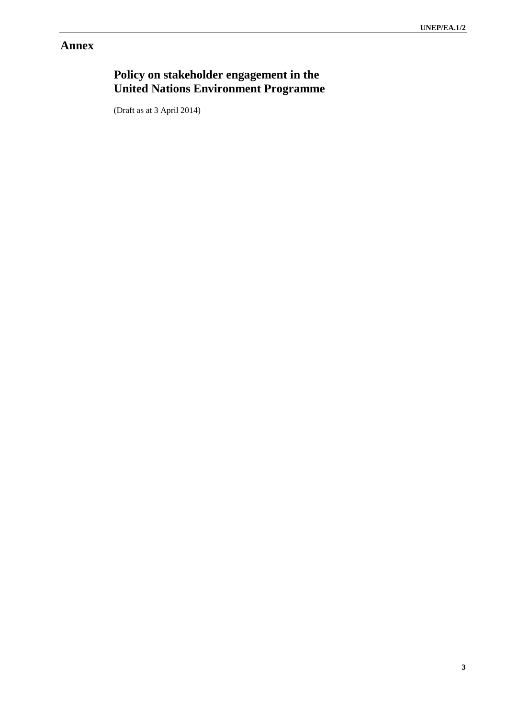# **Annex**

# **Policy on stakeholder engagement in the United Nations Environment Programme**

(Draft as at 3 April 2014)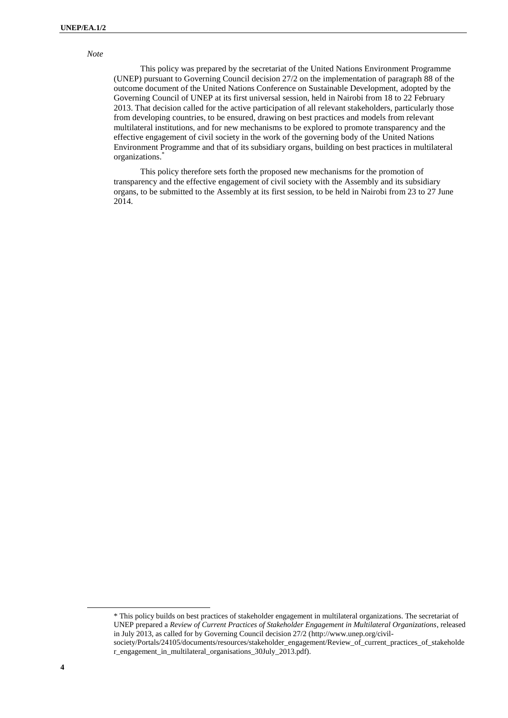#### *Note*

This policy was prepared by the secretariat of the United Nations Environment Programme (UNEP) pursuant to Governing Council decision 27/2 on the implementation of paragraph 88 of the outcome document of the United Nations Conference on Sustainable Development, adopted by the Governing Council of UNEP at its first universal session, held in Nairobi from 18 to 22 February 2013. That decision called for the active participation of all relevant stakeholders, particularly those from developing countries, to be ensured, drawing on best practices and models from relevant multilateral institutions, and for new mechanisms to be explored to promote transparency and the effective engagement of civil society in the work of the governing body of the United Nations Environment Programme and that of its subsidiary organs, building on best practices in multilateral organizations.\*

This policy therefore sets forth the proposed new mechanisms for the promotion of transparency and the effective engagement of civil society with the Assembly and its subsidiary organs, to be submitted to the Assembly at its first session, to be held in Nairobi from 23 to 27 June 2014.

 $\overline{\phantom{a}}$ 

<sup>\*</sup> This policy builds on best practices of stakeholder engagement in multilateral organizations. The secretariat of UNEP prepared a *Review of Current Practices of Stakeholder Engagement in Multilateral Organizations*, released in July 2013, as called for by Governing Council decision 27/2 [\(http://www.unep.org/civil](http://www.unep.org/civil-society/Portals/24105/documents/resources/stakeholder_engagement/Review_of_current_practices_of_stakeholder_engagement_in_multilateral_organisations_30July_2013.pdf).%5bPool_)thisfootnotekeepsduplicatingallofitsownaccord.Itshouldonlyappearonce(atthebottomofthepageheaded)[society/Portals/24105/documents/resources/stakeholder\\_engagement/Review\\_of\\_current\\_practices\\_of\\_stakeholde](http://www.unep.org/civil-society/Portals/24105/documents/resources/stakeholder_engagement/Review_of_current_practices_of_stakeholder_engagement_in_multilateral_organisations_30July_2013.pdf).%5bPool_)thisfootnotekeepsduplicatingallofitsownaccord.Itshouldonlyappearonce(atthebottomofthepageheaded) [r\\_engagement\\_in\\_multilateral\\_organisations\\_30July\\_2013.pdf\).](http://www.unep.org/civil-society/Portals/24105/documents/resources/stakeholder_engagement/Review_of_current_practices_of_stakeholder_engagement_in_multilateral_organisations_30July_2013.pdf).%5bPool_)thisfootnotekeepsduplicatingallofitsownaccord.Itshouldonlyappearonce(atthebottomofthepageheaded)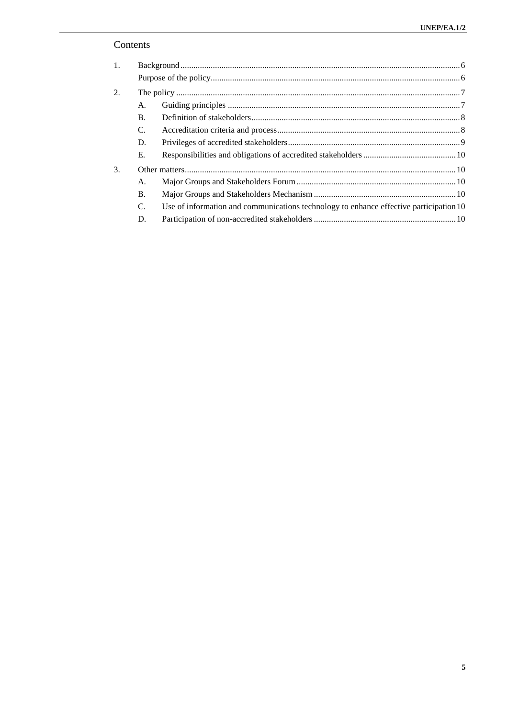## Contents

| $\mathbf{1}$ . |           |                                                                                        |  |
|----------------|-----------|----------------------------------------------------------------------------------------|--|
|                |           |                                                                                        |  |
| 2.             |           |                                                                                        |  |
|                | А.        |                                                                                        |  |
|                | <b>B.</b> |                                                                                        |  |
|                | C.        |                                                                                        |  |
|                | D.        |                                                                                        |  |
|                | Е.        |                                                                                        |  |
| 3.             |           |                                                                                        |  |
|                | А.        |                                                                                        |  |
|                | <b>B.</b> |                                                                                        |  |
|                | C.        | Use of information and communications technology to enhance effective participation 10 |  |
|                | D.        |                                                                                        |  |
|                |           |                                                                                        |  |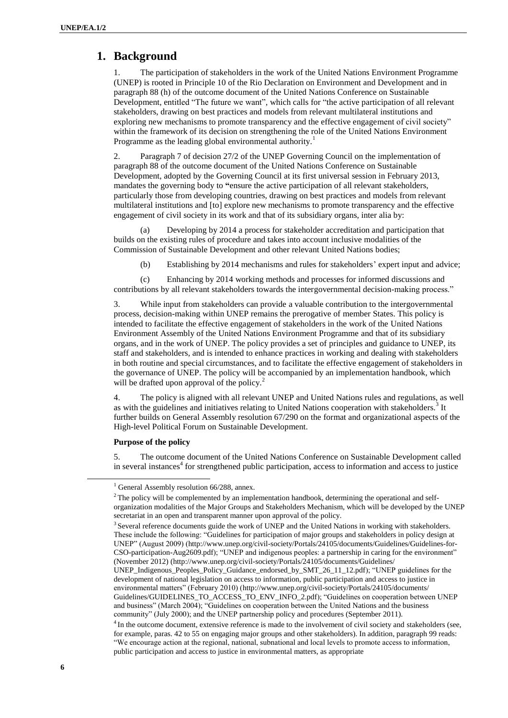## <span id="page-5-0"></span>**1. Background**

1. The participation of stakeholders in the work of the United Nations Environment Programme (UNEP) is rooted in Principle 10 of the Rio Declaration on Environment and Development and in paragraph 88 (h) of the outcome document of the United Nations Conference on Sustainable Development, entitled "The future we want", which calls for "the active participation of all relevant stakeholders, drawing on best practices and models from relevant multilateral institutions and exploring new mechanisms to promote transparency and the effective engagement of civil society" within the framework of its decision on strengthening the role of the United Nations Environment Programme as the leading global environmental authority.<sup>1</sup>

2. Paragraph 7 of decision 27/2 of the UNEP Governing Council on the implementation of paragraph 88 of the outcome document of the United Nations Conference on Sustainable Development, adopted by the Governing Council at its first universal session in February 2013, mandates the governing body to **"**ensure the active participation of all relevant stakeholders, particularly those from developing countries, drawing on best practices and models from relevant multilateral institutions and [to] explore new mechanisms to promote transparency and the effective engagement of civil society in its work and that of its subsidiary organs, inter alia by:

(a) Developing by 2014 a process for stakeholder accreditation and participation that builds on the existing rules of procedure and takes into account inclusive modalities of the Commission of Sustainable Development and other relevant United Nations bodies;

(b) Establishing by 2014 mechanisms and rules for stakeholders' expert input and advice;

(c) Enhancing by 2014 working methods and processes for informed discussions and contributions by all relevant stakeholders towards the intergovernmental decision-making process."

3. While input from stakeholders can provide a valuable contribution to the intergovernmental process, decision-making within UNEP remains the prerogative of member States. This policy is intended to facilitate the effective engagement of stakeholders in the work of the United Nations Environment Assembly of the United Nations Environment Programme and that of its subsidiary organs, and in the work of UNEP. The policy provides a set of principles and guidance to UNEP, its staff and stakeholders, and is intended to enhance practices in working and dealing with stakeholders in both routine and special circumstances, and to facilitate the effective engagement of stakeholders in the governance of UNEP. The policy will be accompanied by an implementation handbook, which will be drafted upon approval of the policy.<sup>2</sup>

4. The policy is aligned with all relevant UNEP and United Nations rules and regulations, as well as with the guidelines and initiatives relating to United Nations cooperation with stakeholders.<sup>3</sup> It further builds on General Assembly resolution 67/290 on the [format and organizational aspects of the](http://www.un.org/ga/search/view_doc.asp?symbol=a/67/l.72&lang=e)  [High-level Political Forum on Sustainable Development.](http://www.un.org/ga/search/view_doc.asp?symbol=a/67/l.72&lang=e)

#### <span id="page-5-1"></span>**Purpose of the policy**

5. The outcome document of the United Nations Conference on Sustainable Development called in several instances<sup>4</sup> for strengthened public participation, access to information and access to justice

 $1$  General Assembly resolution 66/288, annex.

<sup>&</sup>lt;sup>2</sup> The policy will be complemented by an implementation handbook, determining the operational and selforganization modalities of the Major Groups and Stakeholders Mechanism, which will be developed by the UNEP secretariat in an open and transparent manner upon approval of the policy.

<sup>&</sup>lt;sup>3</sup> Several reference documents guide the work of UNEP and the United Nations in working with stakeholders. These include the following: "Guidelines for participation of major groups and stakeholders in policy design at UNEP" (August 2009) [\(http://www.unep.org/civil-society/Portals/24105/documents/Guidelines/Guidelines-for-](http://www.unep.org/civil-society/Portals/24105/documents/Guidelines/Guidelines-for-CSO-participation-Aug2609.pdf)[CSO-participation-Aug2609.pdf\)](http://www.unep.org/civil-society/Portals/24105/documents/Guidelines/Guidelines-for-CSO-participation-Aug2609.pdf); "UNEP and indigenous peoples: a partnership in caring for the environment" (November 2012) [\(http://www.unep.org/civil-society/Portals/24105/documents/Guidelines/](http://www.unep.org/civil-society/Portals/24105/documents/Guidelines/%0bUNEP_Indigenous_Peoples_Policy_Guidance_endorsed_by_SMT_26_11_12.pdf) [UNEP\\_Indigenous\\_Peoples\\_Policy\\_Guidance\\_endorsed\\_by\\_SMT\\_26\\_11\\_12.pdf\)](http://www.unep.org/civil-society/Portals/24105/documents/Guidelines/%0bUNEP_Indigenous_Peoples_Policy_Guidance_endorsed_by_SMT_26_11_12.pdf); "UNEP guidelines for the development of national legislation on access to information, public participation and access to justice in environmental matters" (February 2010) [\(http://www.unep.org/civil-society/Portals/24105/documents/](http://www.unep.org/civil-society/Portals/24105/documents/%0bGuidelines/GUIDELINES_TO_ACCESS_TO_ENV_INFO_2.pdf) [Guidelines/GUIDELINES\\_TO\\_ACCESS\\_TO\\_ENV\\_INFO\\_2.pdf\)](http://www.unep.org/civil-society/Portals/24105/documents/%0bGuidelines/GUIDELINES_TO_ACCESS_TO_ENV_INFO_2.pdf); "Guidelines on cooperation between UNEP and business" (March 2004); "Guidelines on cooperation between the United Nations and the business community" (July 2000); and the UNEP partnership policy and procedures (September 2011). <sup>4</sup> In the outcome document, extensive reference is made to the involvement of civil society and stakeholders (see,

for example, paras. 42 to 55 on engaging major groups and other stakeholders). In addition, paragraph 99 reads: "We encourage action at the regional, national, subnational and local levels to promote access to information, public participation and access to justice in environmental matters, as appropriate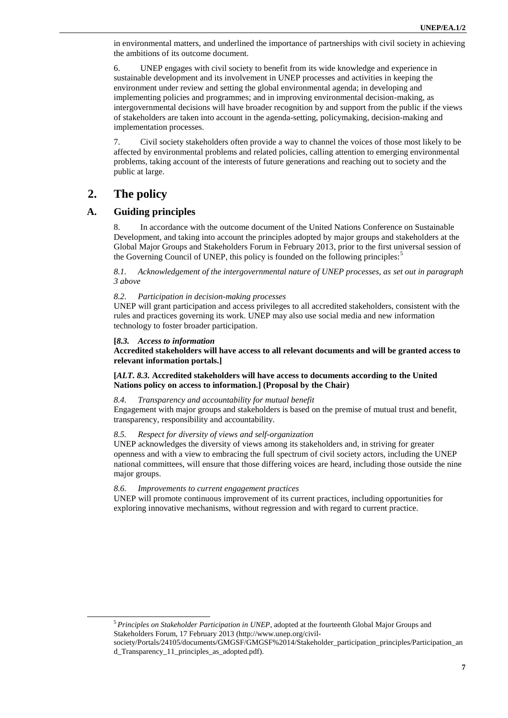in environmental matters, and underlined the importance of partnerships with civil society in achieving the ambitions of its outcome document.

6. UNEP engages with civil society to benefit from its wide knowledge and experience in sustainable development and its involvement in UNEP processes and activities in keeping the environment under review and setting the global environmental agenda; in developing and implementing policies and programmes; and in improving environmental decision-making, as intergovernmental decisions will have broader recognition by and support from the public if the views of stakeholders are taken into account in the agenda-setting, policymaking, decision-making and implementation processes.

7. Civil society stakeholders often provide a way to channel the voices of those most likely to be affected by environmental problems and related policies, calling attention to emerging environmental problems, taking account of the interests of future generations and reaching out to society and the public at large.

## <span id="page-6-0"></span>**2. The policy**

l

## <span id="page-6-1"></span>**A. Guiding principles**

8. In accordance with the outcome document of the United Nations Conference on Sustainable Development, and taking into account the principles adopted by major groups and stakeholders at the Global Major Groups and Stakeholders Forum in February 2013, prior to the first universal session of the Governing Council of UNEP, this policy is founded on the following principles:<sup>5</sup>

*8.1. Acknowledgement of the intergovernmental nature of UNEP processes, as set out in paragraph 3 above*

#### *8.2. Participation in decision-making processes*

UNEP will grant participation and access privileges to all accredited stakeholders, consistent with the rules and practices governing its work. UNEP may also use social media and new information technology to foster broader participation.

#### **[***8.3. Access to information*

**Accredited stakeholders will have access to all relevant documents and will be granted access to relevant information portals.]**

#### **[***ALT. 8.3.* **Accredited stakeholders will have access to documents according to the United Nations policy on access to information.] (Proposal by the Chair)**

#### *8.4. Transparency and accountability for mutual benefit*

Engagement with major groups and stakeholders is based on the premise of mutual trust and benefit, transparency, responsibility and accountability.

#### *8.5. Respect for diversity of views and self-organization*

UNEP acknowledges the diversity of views among its stakeholders and, in striving for greater openness and with a view to embracing the full spectrum of civil society actors, including the UNEP national committees, will ensure that those differing voices are heard, including those outside the nine major groups.

#### *8.6. Improvements to current engagement practices*

UNEP will promote continuous improvement of its current practices, including opportunities for exploring innovative mechanisms, without regression and with regard to current practice.

<sup>5</sup> *Principles on Stakeholder Participation in UNEP*, adopted at the fourteenth Global Major Groups and Stakeholders Forum, 17 February 2013 [\(http://www.unep.org/civil-](http://www.unep.org/civil-society/Portals/24105/documents/GMGSF/GMGSF%2014/Stakeholder_participation_principles/Participation_and_Transparency_11_principles_as_adopted.pdf)

[society/Portals/24105/documents/GMGSF/GMGSF%2014/Stakeholder\\_participation\\_principles/Participation\\_an](http://www.unep.org/civil-society/Portals/24105/documents/GMGSF/GMGSF%2014/Stakeholder_participation_principles/Participation_and_Transparency_11_principles_as_adopted.pdf) [d\\_Transparency\\_11\\_principles\\_as\\_adopted.pdf\)](http://www.unep.org/civil-society/Portals/24105/documents/GMGSF/GMGSF%2014/Stakeholder_participation_principles/Participation_and_Transparency_11_principles_as_adopted.pdf).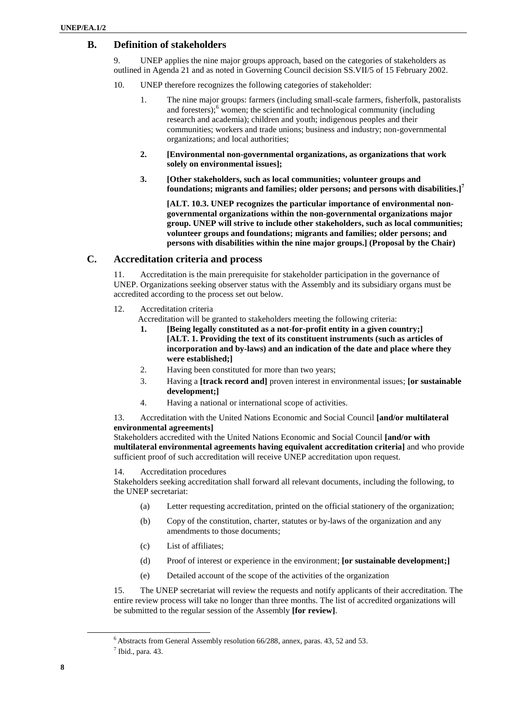## <span id="page-7-0"></span>**B. Definition of stakeholders**

9. UNEP applies the nine major groups approach, based on the categories of stakeholders as outlined in Agenda 21 and as noted in Governing Council decision SS.VII/5 of 15 February 2002.

- 10. UNEP therefore recognizes the following categories of stakeholder:
	- 1. The nine major groups: farmers (including small-scale farmers, fisherfolk, pastoralists and foresters);<sup>6</sup> women; the scientific and technological community (including research and academia); children and youth; indigenous peoples and their communities; workers and trade unions; business and industry; non-governmental organizations; and local authorities;
	- **2. [Environmental non-governmental organizations, as organizations that work solely on environmental issues];**
	- **3. [Other stakeholders, such as local communities; volunteer groups and foundations; migrants and families; older persons; and persons with disabilities.]<sup>7</sup>**

**[ALT. 10.3. UNEP recognizes the particular importance of environmental nongovernmental organizations within the non-governmental organizations major group. UNEP will strive to include other stakeholders, such as local communities; volunteer groups and foundations; migrants and families; older persons; and persons with disabilities within the nine major groups.] (Proposal by the Chair)**

### <span id="page-7-1"></span>**C. Accreditation criteria and process**

11. Accreditation is the main prerequisite for stakeholder participation in the governance of UNEP. Organizations seeking observer status with the Assembly and its subsidiary organs must be accredited according to the process set out below.

- 12. Accreditation criteria
	- Accreditation will be granted to stakeholders meeting the following criteria:
		- **1. [Being legally constituted as a not-for-profit entity in a given country;] [ALT. 1. Providing the text of its constituent instruments (such as articles of incorporation and by-laws) and an indication of the date and place where they were established;]**
		- 2. Having been constituted for more than two years;
		- 3. Having a **[track record and]** proven interest in environmental issues; **[or sustainable development;]**
		- 4. Having a national or international scope of activities.

13. Accreditation with the United Nations Economic and Social Council **[and/or multilateral environmental agreements]**

Stakeholders accredited with the United Nations Economic and Social Council **[and/or with multilateral environmental agreements having equivalent accreditation criteria]** and who provide sufficient proof of such accreditation will receive UNEP accreditation upon request.

14. Accreditation procedures

Stakeholders seeking accreditation shall forward all relevant documents, including the following, to the UNEP secretariat:

- (a) Letter requesting accreditation, printed on the official stationery of the organization;
- (b) Copy of the constitution, charter, statutes or by-laws of the organization and any amendments to those documents;
- (c) List of affiliates;
- (d) Proof of interest or experience in the environment; **[or sustainable development;]**
- (e) Detailed account of the scope of the activities of the organization

15. The UNEP secretariat will review the requests and notify applicants of their accreditation. The entire review process will take no longer than three months. The list of accredited organizations will be submitted to the regular session of the Assembly **[for review]**.

<sup>6</sup> Abstracts from General Assembly resolution 66/288, annex, paras. 43, 52 and 53.

 $<sup>7</sup>$  Ibid., para. 43.</sup>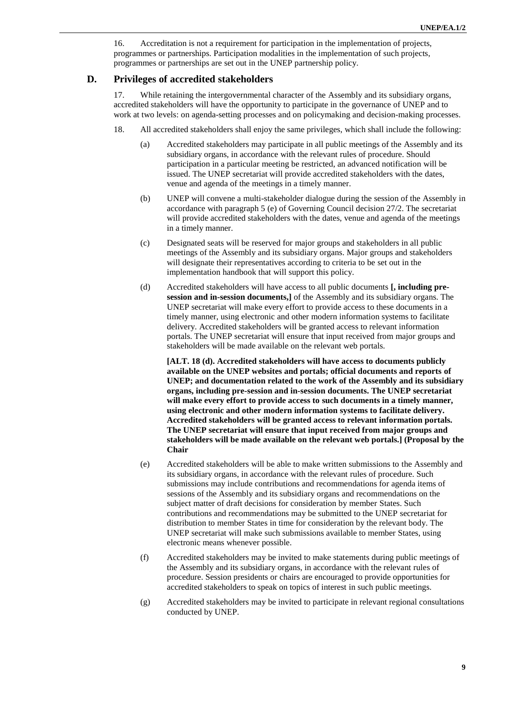16. Accreditation is not a requirement for participation in the implementation of projects, programmes or partnerships. Participation modalities in the implementation of such projects, programmes or partnerships are set out in the UNEP partnership policy.

#### <span id="page-8-0"></span>**D. Privileges of accredited stakeholders**

17. While retaining the intergovernmental character of the Assembly and its subsidiary organs, accredited stakeholders will have the opportunity to participate in the governance of UNEP and to work at two levels: on agenda-setting processes and on policymaking and decision-making processes.

- 18. All accredited stakeholders shall enjoy the same privileges, which shall include the following:
	- (a) Accredited stakeholders may participate in all public meetings of the Assembly and its subsidiary organs, in accordance with the relevant rules of procedure. Should participation in a particular meeting be restricted, an advanced notification will be issued. The UNEP secretariat will provide accredited stakeholders with the dates, venue and agenda of the meetings in a timely manner.
	- (b) UNEP will convene a multi-stakeholder dialogue during the session of the Assembly in accordance with paragraph 5 (e) of Governing Council decision 27/2. The secretariat will provide accredited stakeholders with the dates, venue and agenda of the meetings in a timely manner.
	- (c) Designated seats will be reserved for major groups and stakeholders in all public meetings of the Assembly and its subsidiary organs. Major groups and stakeholders will designate their representatives according to criteria to be set out in the implementation handbook that will support this policy.
	- (d) Accredited stakeholders will have access to all public documents **[, including presession and in-session documents,]** of the Assembly and its subsidiary organs. The UNEP secretariat will make every effort to provide access to these documents in a timely manner, using electronic and other modern information systems to facilitate delivery. Accredited stakeholders will be granted access to relevant information portals. The UNEP secretariat will ensure that input received from major groups and stakeholders will be made available on the relevant web portals.

**[ALT. 18 (d). Accredited stakeholders will have access to documents publicly available on the UNEP websites and portals; official documents and reports of UNEP; and documentation related to the work of the Assembly and its subsidiary organs, including pre-session and in-session documents. The UNEP secretariat will make every effort to provide access to such documents in a timely manner, using electronic and other modern information systems to facilitate delivery. Accredited stakeholders will be granted access to relevant information portals. The UNEP secretariat will ensure that input received from major groups and stakeholders will be made available on the relevant web portals.] (Proposal by the Chair**

- (e) Accredited stakeholders will be able to make written submissions to the Assembly and its subsidiary organs, in accordance with the relevant rules of procedure. Such submissions may include contributions and recommendations for agenda items of sessions of the Assembly and its subsidiary organs and recommendations on the subject matter of draft decisions for consideration by member States. Such contributions and recommendations may be submitted to the UNEP secretariat for distribution to member States in time for consideration by the relevant body. The UNEP secretariat will make such submissions available to member States, using electronic means whenever possible.
- (f) Accredited stakeholders may be invited to make statements during public meetings of the Assembly and its subsidiary organs, in accordance with the relevant rules of procedure. Session presidents or chairs are encouraged to provide opportunities for accredited stakeholders to speak on topics of interest in such public meetings.
- (g) Accredited stakeholders may be invited to participate in relevant regional consultations conducted by UNEP.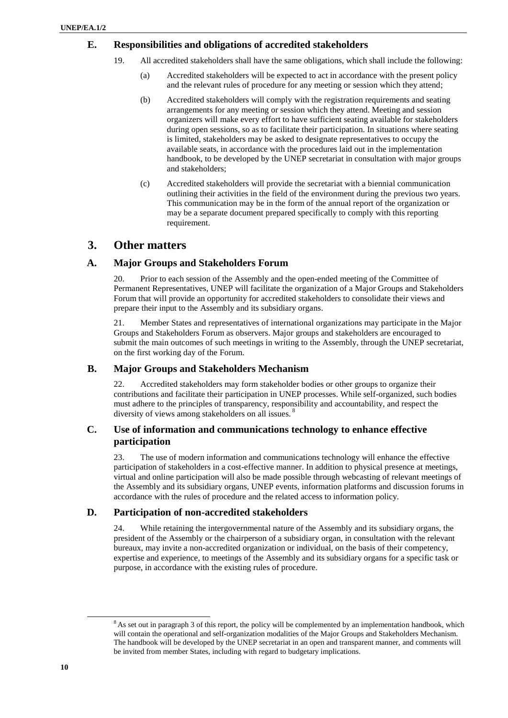### <span id="page-9-0"></span>**E. Responsibilities and obligations of accredited stakeholders**

- 19. All accredited stakeholders shall have the same obligations, which shall include the following:
	- (a) Accredited stakeholders will be expected to act in accordance with the present policy and the relevant rules of procedure for any meeting or session which they attend;
	- (b) Accredited stakeholders will comply with the registration requirements and seating arrangements for any meeting or session which they attend. Meeting and session organizers will make every effort to have sufficient seating available for stakeholders during open sessions, so as to facilitate their participation. In situations where seating is limited, stakeholders may be asked to designate representatives to occupy the available seats, in accordance with the procedures laid out in the implementation handbook, to be developed by the UNEP secretariat in consultation with major groups and stakeholders;
	- (c) Accredited stakeholders will provide the secretariat with a biennial communication outlining their activities in the field of the environment during the previous two years. This communication may be in the form of the annual report of the organization or may be a separate document prepared specifically to comply with this reporting requirement.

## <span id="page-9-1"></span>**3. Other matters**

### <span id="page-9-2"></span>**A. Major Groups and Stakeholders Forum**

20. Prior to each session of the Assembly and the open-ended meeting of the Committee of Permanent Representatives, UNEP will facilitate the organization of a Major Groups and Stakeholders Forum that will provide an opportunity for accredited stakeholders to consolidate their views and prepare their input to the Assembly and its subsidiary organs.

21. Member States and representatives of international organizations may participate in the Major Groups and Stakeholders Forum as observers. Major groups and stakeholders are encouraged to submit the main outcomes of such meetings in writing to the Assembly, through the UNEP secretariat, on the first working day of the Forum.

## <span id="page-9-3"></span>**B. Major Groups and Stakeholders Mechanism**

22. Accredited stakeholders may form stakeholder bodies or other groups to organize their contributions and facilitate their participation in UNEP processes. While self-organized, such bodies must adhere to the principles of transparency, responsibility and accountability, and respect the diversity of views among stakeholders on all issues. <sup>8</sup>

## <span id="page-9-4"></span>**C. Use of information and communications technology to enhance effective participation**

23. The use of modern information and communications technology will enhance the effective participation of stakeholders in a cost-effective manner. In addition to physical presence at meetings, virtual and online participation will also be made possible through webcasting of relevant meetings of the Assembly and its subsidiary organs, UNEP events, information platforms and discussion forums in accordance with the rules of procedure and the related access to information policy.

## <span id="page-9-5"></span>**D. Participation of non-accredited stakeholders**

24. While retaining the intergovernmental nature of the Assembly and its subsidiary organs, the president of the Assembly or the chairperson of a subsidiary organ, in consultation with the relevant bureaux, may invite a non-accredited organization or individual, on the basis of their competency, expertise and experience, to meetings of the Assembly and its subsidiary organs for a specific task or purpose, in accordance with the existing rules of procedure.

l

<sup>&</sup>lt;sup>8</sup> As set out in paragraph 3 of this report, the policy will be complemented by an implementation handbook, which will contain the operational and self-organization modalities of the Major Groups and Stakeholders Mechanism. The handbook will be developed by the UNEP secretariat in an open and transparent manner, and comments will be invited from member States, including with regard to budgetary implications.